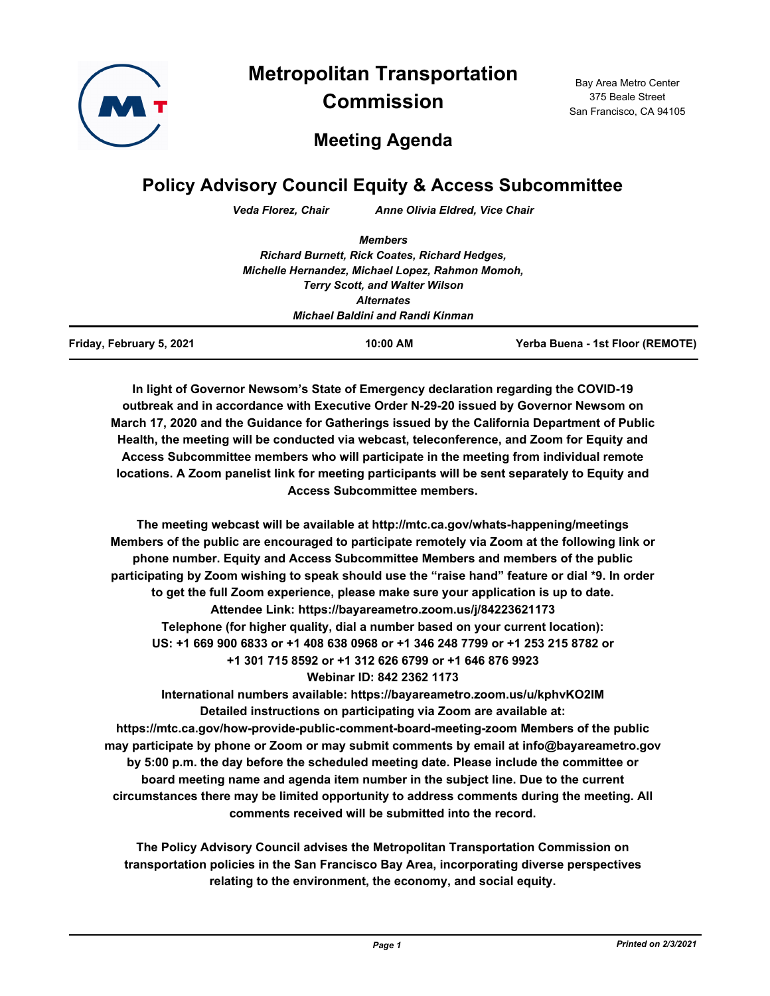

**Metropolitan Transportation Commission**

Bay Area Metro Center 375 Beale Street San Francisco, CA 94105

## **Meeting Agenda**

# **Policy Advisory Council Equity & Access Subcommittee**

*Veda Florez, Chair Anne Olivia Eldred, Vice Chair*

| <b>Alternates</b>                                    |                                                                           |
|------------------------------------------------------|---------------------------------------------------------------------------|
|                                                      |                                                                           |
|                                                      |                                                                           |
|                                                      |                                                                           |
| Michelle Hernandez, Michael Lopez, Rahmon Momoh,     |                                                                           |
| <b>Richard Burnett, Rick Coates, Richard Hedges,</b> |                                                                           |
| <b>Members</b>                                       |                                                                           |
|                                                      | <b>Terry Scott, and Walter Wilson</b><br>Michael Baldini and Randi Kinman |

**In light of Governor Newsom's State of Emergency declaration regarding the COVID-19 outbreak and in accordance with Executive Order N-29-20 issued by Governor Newsom on March 17, 2020 and the Guidance for Gatherings issued by the California Department of Public Health, the meeting will be conducted via webcast, teleconference, and Zoom for Equity and Access Subcommittee members who will participate in the meeting from individual remote locations. A Zoom panelist link for meeting participants will be sent separately to Equity and Access Subcommittee members.**

**The meeting webcast will be available at http://mtc.ca.gov/whats-happening/meetings Members of the public are encouraged to participate remotely via Zoom at the following link or phone number. Equity and Access Subcommittee Members and members of the public participating by Zoom wishing to speak should use the "raise hand" feature or dial \*9. In order to get the full Zoom experience, please make sure your application is up to date. Attendee Link: https://bayareametro.zoom.us/j/84223621173 Telephone (for higher quality, dial a number based on your current location): US: +1 669 900 6833 or +1 408 638 0968 or +1 346 248 7799 or +1 253 215 8782 or +1 301 715 8592 or +1 312 626 6799 or +1 646 876 9923 Webinar ID: 842 2362 1173**

**International numbers available: https://bayareametro.zoom.us/u/kphvKO2IM Detailed instructions on participating via Zoom are available at: https://mtc.ca.gov/how-provide-public-comment-board-meeting-zoom Members of the public may participate by phone or Zoom or may submit comments by email at info@bayareametro.gov by 5:00 p.m. the day before the scheduled meeting date. Please include the committee or board meeting name and agenda item number in the subject line. Due to the current circumstances there may be limited opportunity to address comments during the meeting. All comments received will be submitted into the record.**

**The Policy Advisory Council advises the Metropolitan Transportation Commission on transportation policies in the San Francisco Bay Area, incorporating diverse perspectives relating to the environment, the economy, and social equity.**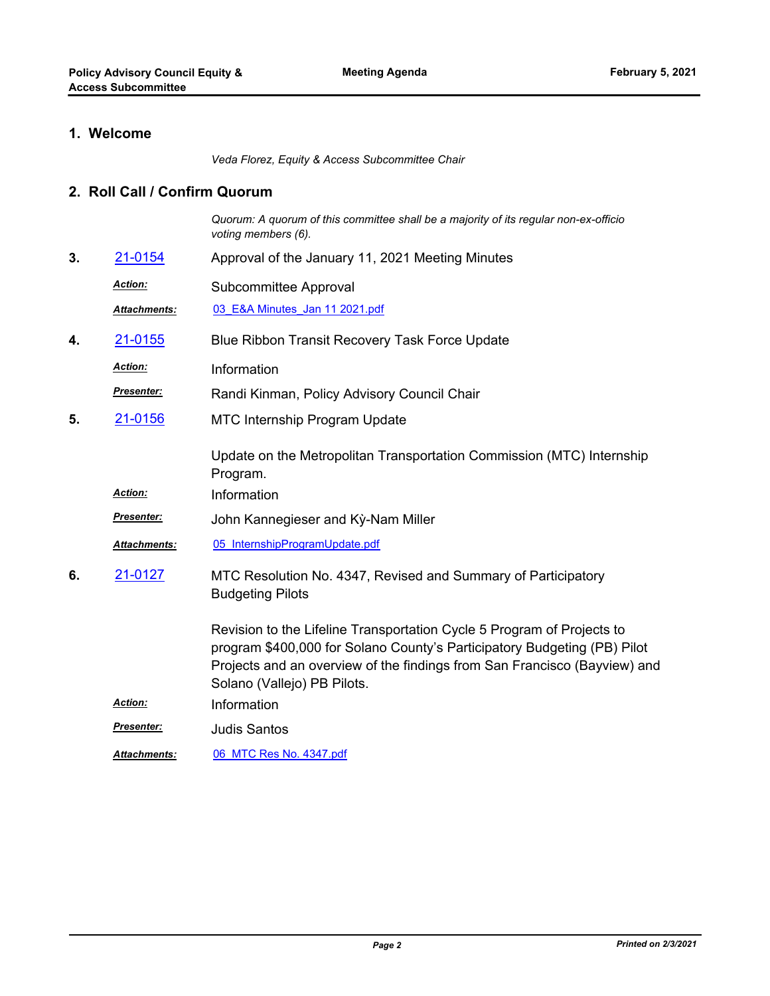### **1. Welcome**

*Veda Florez, Equity & Access Subcommittee Chair*

#### **2. Roll Call / Confirm Quorum**

*Quorum: A quorum of this committee shall be a majority of its regular non-ex-officio voting members (6).*

- **3.** [21-0154](http://mtc.legistar.com/gateway.aspx?m=l&id=/matter.aspx?key=21747) Approval of the January 11, 2021 Meeting Minutes
	- Subcommittee Approval *Action:*
	- *Attachments:* [03\\_E&A Minutes\\_Jan 11 2021.pdf](http://mtc.legistar.com/gateway.aspx?M=F&ID=3348efdf-0ac0-46f6-ab06-bc9b317c330f.pdf)
- **4.** [21-0155](http://mtc.legistar.com/gateway.aspx?m=l&id=/matter.aspx?key=21748) Blue Ribbon Transit Recovery Task Force Update
	- *Action:* Information
	- Randi Kinman, Policy Advisory Council Chair *Presenter:*
- MTC Internship Program Update **5.** [21-0156](http://mtc.legistar.com/gateway.aspx?m=l&id=/matter.aspx?key=21749)

Update on the Metropolitan Transportation Commission (MTC) Internship Program.

- *Action:* Information
- John Kannegieser and Kỳ-Nam Miller *Presenter:*
- *Attachments:* [05\\_InternshipProgramUpdate.pdf](http://mtc.legistar.com/gateway.aspx?M=F&ID=736b326a-4978-4434-8f3a-224d5d7df3d7.pdf)
- MTC Resolution No. 4347, Revised and Summary of Participatory Budgeting Pilots **6.** [21-0127](http://mtc.legistar.com/gateway.aspx?m=l&id=/matter.aspx?key=21720)

Revision to the Lifeline Transportation Cycle 5 Program of Projects to program \$400,000 for Solano County's Participatory Budgeting (PB) Pilot Projects and an overview of the findings from San Francisco (Bayview) and Solano (Vallejo) PB Pilots.

- *Action:* Information
- Judis Santos *Presenter:*

*Attachments:* [06\\_MTC Res No. 4347.pdf](http://mtc.legistar.com/gateway.aspx?M=F&ID=84e6007e-b964-48af-bad4-052901ee6570.pdf)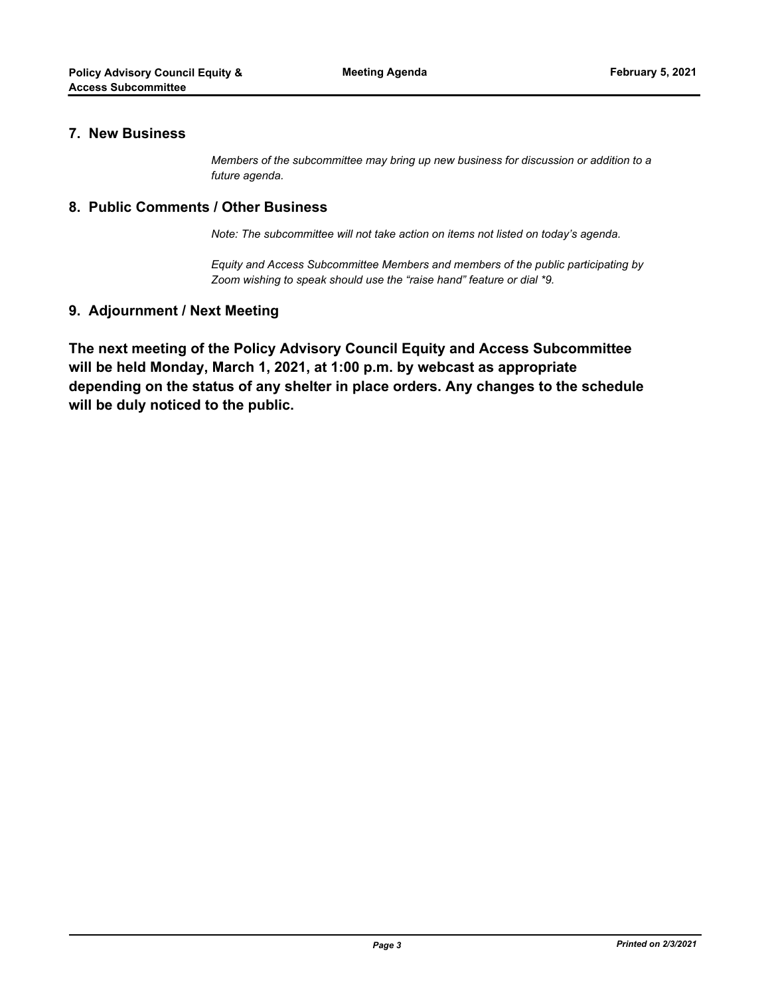#### **7. New Business**

*Members of the subcommittee may bring up new business for discussion or addition to a future agenda.*

#### **8. Public Comments / Other Business**

*Note: The subcommittee will not take action on items not listed on today's agenda.*

*Equity and Access Subcommittee Members and members of the public participating by Zoom wishing to speak should use the "raise hand" feature or dial \*9.*

#### **9. Adjournment / Next Meeting**

**The next meeting of the Policy Advisory Council Equity and Access Subcommittee will be held Monday, March 1, 2021, at 1:00 p.m. by webcast as appropriate depending on the status of any shelter in place orders. Any changes to the schedule will be duly noticed to the public.**